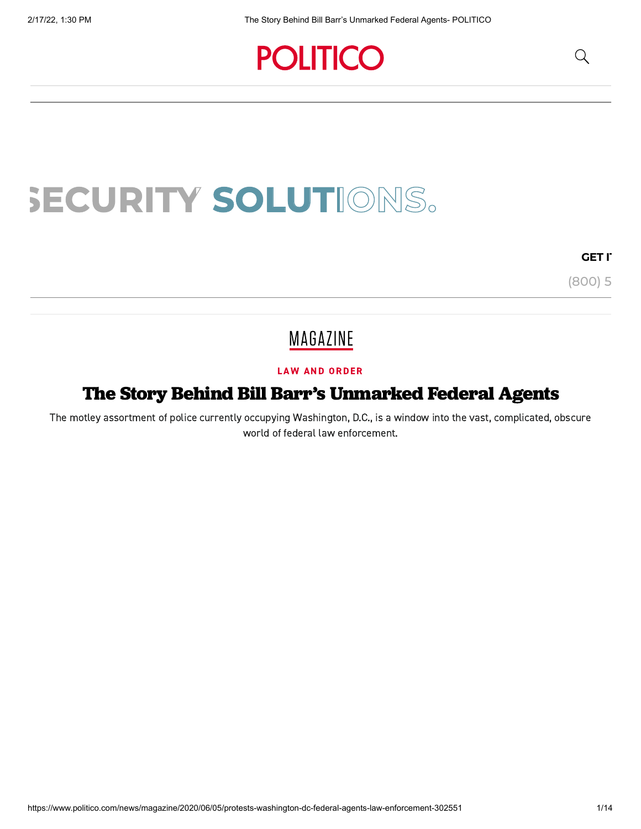## **POLITICO**

# **SECURITY SOLUTIONS.**

#### **GET IT**

(800) 5

## MAGAZINE

#### LAW AND [ORDER](https://www.politico.com/news/law-and-order)

### The Story Behind Bill Barr's Unmarked Federal Agents

The motley assortment of police currently occupying Washington, D.C., is a window into the vast, complicated, obscure world of federal law enforcement.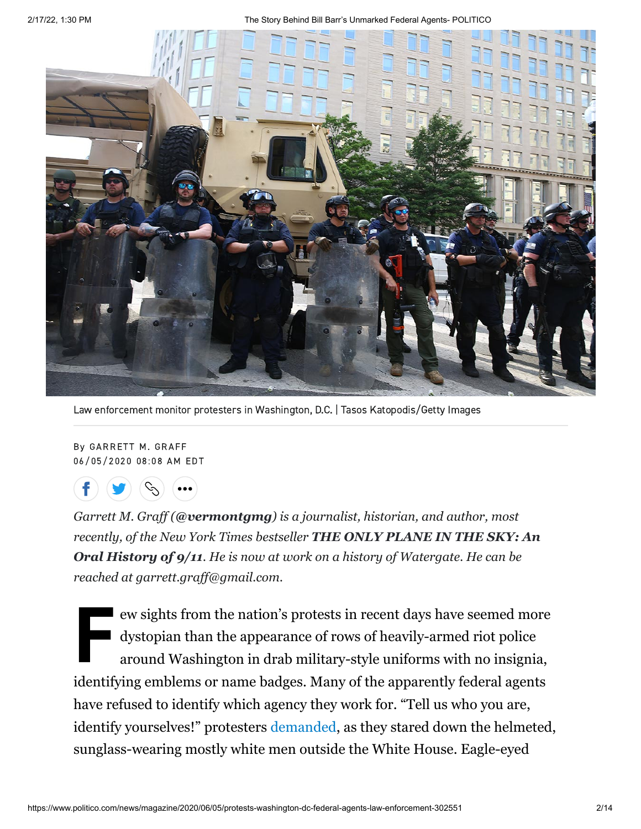2/17/22, 1:30 PM The Story Behind Bill Barr's Unmarked Federal Agents- POLITICO



Law enforcement monitor protesters in Washington, D.C. | Tasos Katopodis/Getty Images

By GARRETT M. GRAFF 06/05/2020 08:08 AM EDT



*Garrett M. Graff ([@vermontgmg](http://www.twitter.com/vermontgmg)) is a journalist, historian, and author, most recently, of the New York Times bestseller THE ONLY PLANE IN THE SKY: An Oral History of 9/11[. He is now at work on a history of Watergate. He can be](https://www.amazon.com/Only-Plane-Sky-Oral-History/dp/150118220X) reached at garrett.graff@gmail.com.*

e<br>France<br>B<br>a ew sights from the nation's protests in recent days have seemed more dystopian than the appearance of rows of heavily-armed riot police around Washington in drab military-style uniforms with no insignia, identifying emblems or name badges. Many of the apparently federal agents have refused to identify which agency they work for. "Tell us who you are, identify yourselves!" protesters [demanded,](https://www.nytimes.com/2020/06/03/us/politics/unrest-trump-military-protests.html?smid=tw-share) as they stared down the helmeted, sunglass-wearing mostly white men outside the White House. Eagle-eyed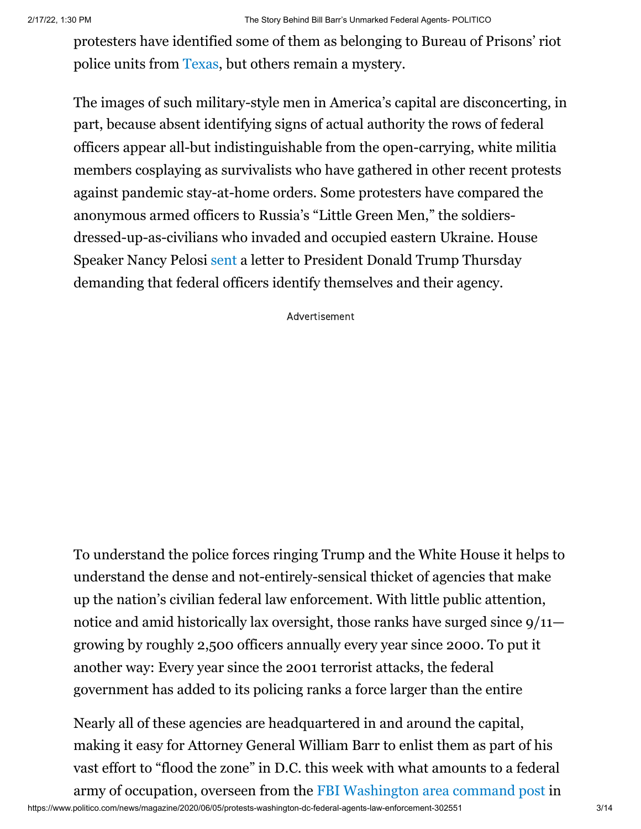protesters have identified some of them as belonging to Bureau of Prisons' riot police units from [Texas](https://twitter.com/aletweetsnews/status/1268266300519976960), but others remain a mystery.

The images of such military-style men in America's capital are disconcerting, in part, because absent identifying signs of actual authority the rows of federal officers appear all-but indistinguishable from the open-carrying, white militia members cosplaying as survivalists who have gathered in other recent protests against pandemic stay-at-home orders. Some protesters have compared the anonymous armed officers to Russia's "Little Green Men," the soldiersdressed-up-as-civilians who invaded and occupied eastern Ukraine. House Speaker Nancy Pelosi [sent](https://www.nytimes.com/2020/06/04/us/politics/unidentified-police-protests.html?smid=tw-share) a letter to President Donald Trump Thursday demanding that federal officers identify themselves and their agency.

Advertisement

To understand the police forces ringing Trump and the White House it helps to understand the dense and not-entirely-sensical thicket of agencies that make up the nation's civilian federal law enforcement. With little public attention, notice and amid historically lax oversight, those ranks have surged since  $9/11$  growing by roughly 2,500 officers annually every year since 2000. To put it another way: Every year since the 2001 terrorist attacks, the federal government has added to its policing ranks a force larger than the entire

 $B = \begin{bmatrix} 1 & 11 & 0 & 1 \end{bmatrix}$ Nearly all of these agencies are headquartered in and around the capital, making it easy for Attorney General William Barr to enlist them as part of his vast effort to "flood the zone" in D.C. this week with what amounts to a federal army of occupation, overseen from the [FBI Washington area command post](https://www.washingtonpost.com/national-security/william-barr-george-floyd-protests-fbi-atf-us-marshals/2020/06/02/6d093d0a-a515-11ea-b473-04905b1af82b_story.html) in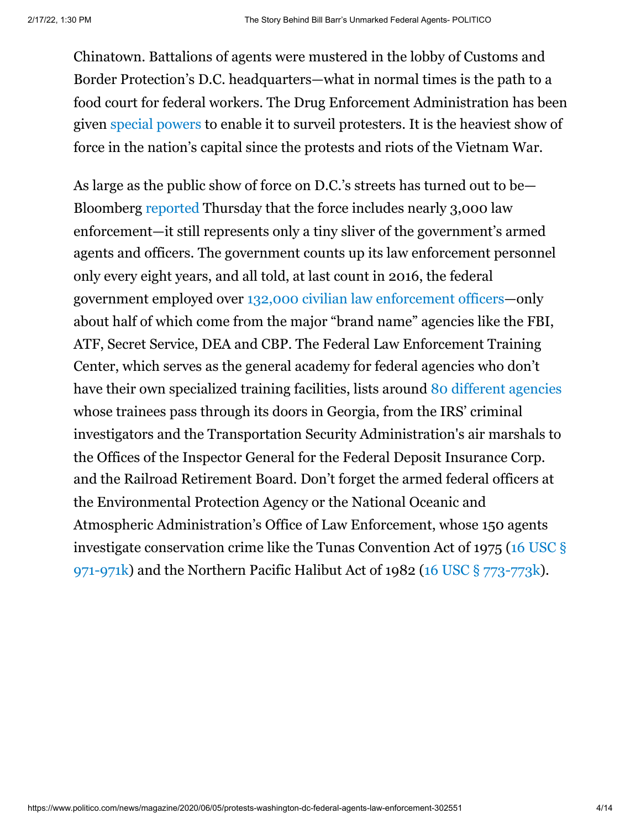Chinatown. Battalions of agents were mustered in the lobby of Customs and Border Protection's D.C. headquarters—what in normal times is the path to a food court for federal workers. The Drug Enforcement Administration has been given [special powers](https://www.buzzfeednews.com/article/jasonleopold/george-floyd-police-brutality-protests-government) to enable it to surveil protesters. It is the heaviest show of force in the nation's capital since the protests and riots of the Vietnam War.

As large as the public show of force on D.C.'s streets has turned out to be— Bloomberg [reported](https://www.bloomberg.com/news/articles/2020-06-05/federal-plan-to-control-d-c-protests-has-7-600-personnel-tapped?srnd=premium) Thursday that the force includes nearly 3,000 law enforcement—it still represents only a tiny sliver of the government's armed agents and officers. The government counts up its law enforcement personnel only every eight years, and all told, at last count in 2016, the federal government employed over [132,000 civilian law enforcement officers—](https://www.ojp.gov/sites/g/files/xyckuh241/files/media/document/fedlawenforceoff2016.pdf)only about half of which come from the major "brand name" agencies like the FBI, ATF, Secret Service, DEA and CBP. The Federal Law Enforcement Training Center, which serves as the general academy for federal agencies who don't have their own specialized training facilities, lists aroun[d 80 different agencies](http://www.fletc.gov/current-partners) whose trainees pass through its doors in Georgia, from the IRS' criminal investigators and the Transportation Security Administration's air marshals to the Offices of the Inspector General for the Federal Deposit Insurance Corp. and the Railroad Retirement Board. Don't forget the armed federal officers at the Environmental Protection Agency or the National Oceanic and Atmospheric Administration's Office of Law Enforcement, whose 150 agents [investigate conservation crime like the Tunas Convention Act of 1975 \(16 USC §](https://www.law.cornell.edu/uscode/text/16/971) 971-971k) and the Northern Pacific Halibut Act of 1982 ([16 USC § 773-773k](https://www.law.cornell.edu/uscode/text/16/chapter-10)).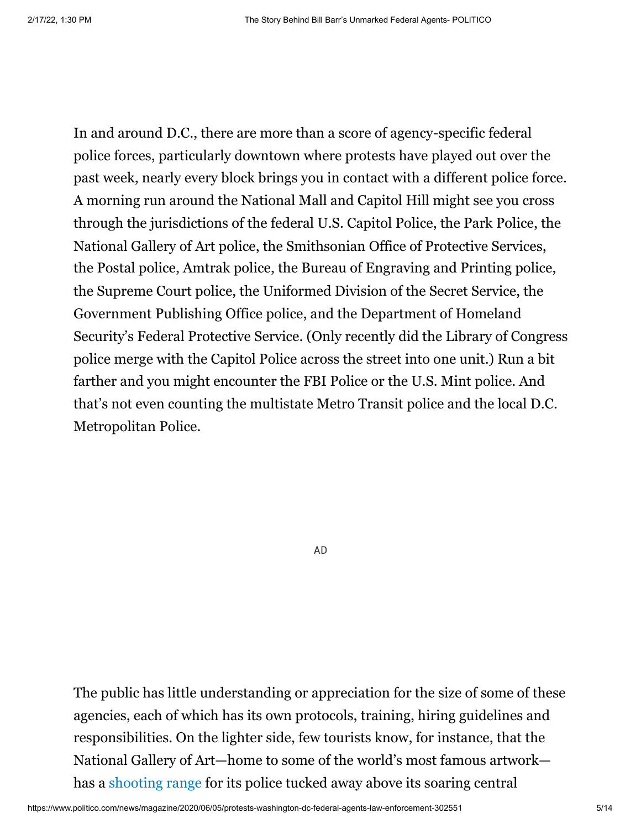In and around D.C., there are more than a score of agency-specific federal police forces, particularly downtown where protests have played out over the past week, nearly every block brings you in contact with a different police force. A morning run around the National Mall and Capitol Hill might see you cross through the jurisdictions of the federal U.S. Capitol Police, the Park Police, the National Gallery of Art police, the Smithsonian Office of Protective Services, the Postal police, Amtrak police, the Bureau of Engraving and Printing police, the Supreme Court police, the Uniformed Division of the Secret Service, the Government Publishing Office police, and the Department of Homeland Security's Federal Protective Service. (Only recently did the Library of Congress police merge with the Capitol Police across the street into one unit.) Run a bit farther and you might encounter the FBI Police or the U.S. Mint police. And that's not even counting the multistate Metro Transit police and the local D.C. Metropolitan Police.

AD

The public has little understanding or appreciation for the size of some of these agencies, each of which has its own protocols, training, hiring guidelines and responsibilities. On the lighter side, few tourists know, for instance, that the National Gallery of Art—home to some of the world's most famous artwork has a [shooting range](http://www.washingtoncitypaper.com/news/article/13024443/the-shooting-gallery) for its police tucked away above its soaring central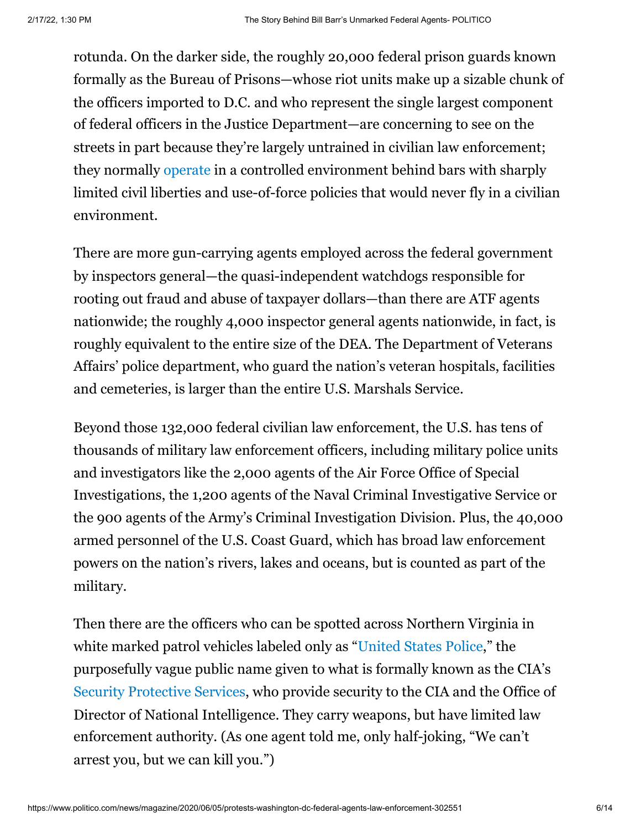rotunda. On the darker side, the roughly 20,000 federal prison guards known formally as the Bureau of Prisons—whose riot units make up a sizable chunk of the officers imported to D.C. and who represent the single largest component of federal officers in the Justice Department—are concerning to see on the streets in part because they're largely untrained in civilian law enforcement; they normally [operate](https://twitter.com/DebGoldenDC/status/1268308485160214528) in a controlled environment behind bars with sharply limited civil liberties and use-of-force policies that would never fly in a civilian environment.

There are more gun-carrying agents employed across the federal government by inspectors general—the quasi-independent watchdogs responsible for rooting out fraud and abuse of taxpayer dollars—than there are ATF agents nationwide; the roughly 4,000 inspector general agents nationwide, in fact, is roughly equivalent to the entire size of the DEA. The Department of Veterans Affairs' police department, who guard the nation's veteran hospitals, facilities and cemeteries, is larger than the entire U.S. Marshals Service.

Beyond those 132,000 federal civilian law enforcement, the U.S. has tens of thousands of military law enforcement officers, including military police units and investigators like the 2,000 agents of the Air Force Office of Special Investigations, the 1,200 agents of the Naval Criminal Investigative Service or the 900 agents of the Army's Criminal Investigation Division. Plus, the 40,000 armed personnel of the U.S. Coast Guard, which has broad law enforcement powers on the nation's rivers, lakes and oceans, but is counted as part of the military.

Then there are the officers who can be spotted across Northern Virginia in white marked patrol vehicles labeled only as "[United States Police,](https://upload.wikimedia.org/wikipedia/commons/b/b5/CIA_Security_Protective_Service_Police_Ford_Taurus_PI.jpg)" the purposefully vague public name given to what is formally known as the CIA's [Security Protective Services](https://www.cia.gov/careers/search-jobs/support-professional/security-protective-officer.html), who provide security to the CIA and the Office of Director of National Intelligence. They carry weapons, but have limited law enforcement authority. (As one agent told me, only half-joking, "We can't arrest you, but we can kill you.")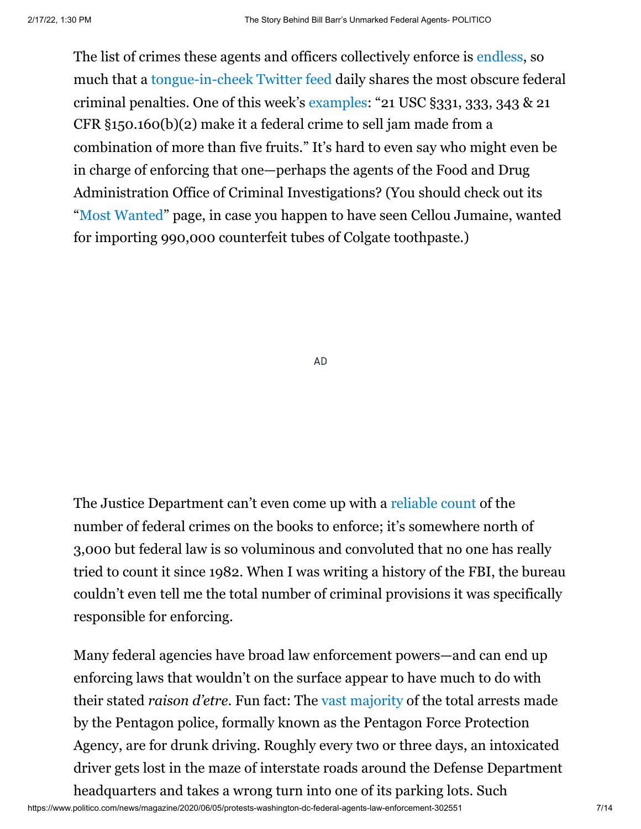The list of crimes these agents and officers collectively enforce is [endless,](https://www.amazon.ca/How-Become-Federal-Criminal-Illustrated/dp/1982112514) so much that a [tongue-in-cheek Twitter feed](https://twitter.com/CrimeADay?ref_src=twsrc%5Egoogle%7Ctwcamp%5Eserp%7Ctwgr%5Eauthor) daily shares the most obscure federal criminal penalties. One of this week's [examples:](https://twitter.com/CrimeADay/status/1268337109896749059) "21 USC §331, 333, 343 & 21 CFR §150.160(b)(2) make it a federal crime to sell jam made from a combination of more than five fruits." It's hard to even say who might even be in charge of enforcing that one—perhaps the agents of the Food and Drug Administration Office of Criminal Investigations? (You should check out its "[Most Wanted](https://www.fda.gov/inspections-compliance-enforcement-and-criminal-investigations/office-criminal-investigations-most-wanted-fugitives/office-criminal-investigations-oci-most-wanted-fugitives#jumaine)" page, in case you happen to have seen Cellou Jumaine, wanted for importing 990,000 counterfeit tubes of Colgate toothpaste.)

AD

The Justice Department can't even come up with a [reliable count](https://www.wsj.com/articles/SB10001424052702304319804576389601079728920) of the number of federal crimes on the books to enforce; it's somewhere north of 3,000 but federal law is so voluminous and convoluted that no one has really tried to count it since 1982. When I was writing a history of the FBI, the bureau couldn't even tell me the total number of criminal provisions it was specifically responsible for enforcing.

Many federal agencies have broad law enforcement powers—and can end up enforcing laws that wouldn't on the surface appear to have much to do with their stated *raison d'etre*. Fun fact: The [vast majority](https://www.washingtonpost.com/wp-dyn/content/article/2009/04/25/AR2009042503121.html?hpid=topnews) of the total arrests made by the Pentagon police, formally known as the Pentagon Force Protection Agency, are for drunk driving. Roughly every two or three days, an intoxicated driver gets lost in the maze of interstate roads around the Defense Department headquarters and takes a wrong turn into one of its parking lots. Such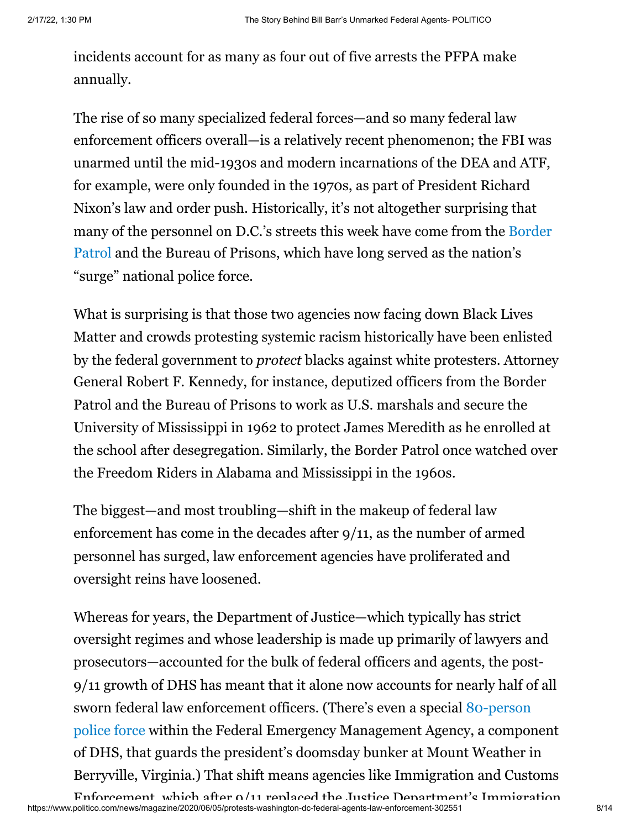incidents account for as many as four out of five arrests the PFPA make annually.

The rise of so many specialized federal forces—and so many federal law enforcement officers overall—is a relatively recent phenomenon; the FBI was unarmed until the mid-1930s and modern incarnations of the DEA and ATF, for example, were only founded in the 1970s, as part of President Richard Nixon's law and order push. Historically, it's not altogether surprising that [many of the personnel on D.C.'s streets this week have come from the Border](https://twitter.com/CBPMarkMorgan/status/1267958057457377280) Patrol and the Bureau of Prisons, which have long served as the nation's "surge" national police force.

What is surprising is that those two agencies now facing down Black Lives Matter and crowds protesting systemic racism historically have been enlisted by the federal government to *protect* blacks against white protesters. Attorney General Robert F. Kennedy, for instance, deputized officers from the Border Patrol and the Bureau of Prisons to work as U.S. marshals and secure the University of Mississippi in 1962 to protect James Meredith as he enrolled at the school after desegregation. Similarly, the Border Patrol once watched over the Freedom Riders in Alabama and Mississippi in the 1960s.

The biggest—and most troubling—shift in the makeup of federal law enforcement has come in the decades after 9/11, as the number of armed personnel has surged, law enforcement agencies have proliferated and oversight reins have loosened.

Whereas for years, the Department of Justice—which typically has strict oversight regimes and whose leadership is made up primarily of lawyers and prosecutors—accounted for the bulk of federal officers and agents, the post-9/11 growth of DHS has meant that it alone now accounts for nearly half of all [sworn federal law enforcement officers. \(There's even a special 80-person](https://www.fema.gov/media-library-data/1401457809387-a5f389c7b9be8163c27cfad0ee241e00/MWEOC+Fact+Sheet.pdf) police force within the Federal Emergency Management Agency, a component of DHS, that guards the president's doomsday bunker at Mount Weather in Berryville, Virginia.) That shift means agencies like Immigration and Customs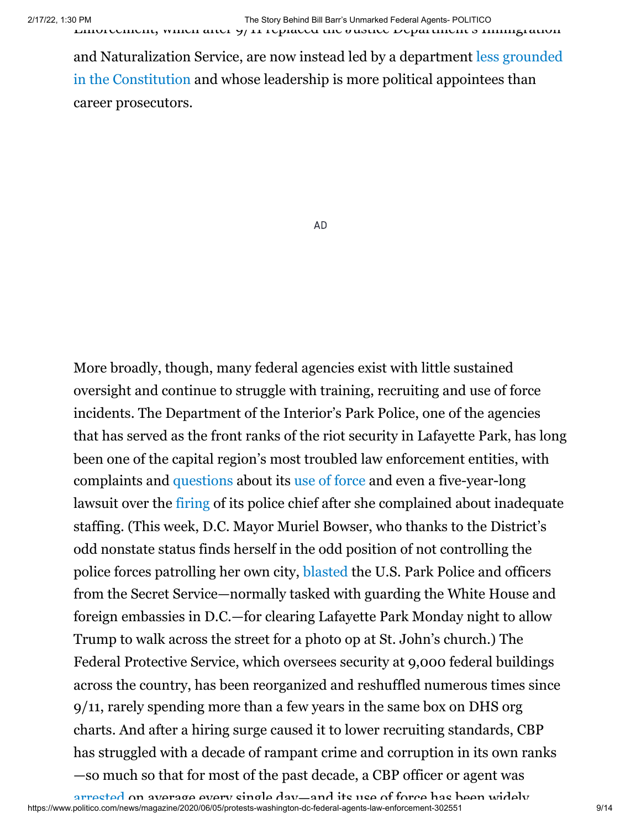[and Naturalization Service, are now instead led by a department less grounded](https://www.politico.com/magazine/story/2019/04/17/dont-count-on-dhs-to-resist-trumps-worst-impulses-226659) in the Constitution and whose leadership is more political appointees than career prosecutors.

AD

More broadly, though, many federal agencies exist with little sustained oversight and continue to struggle with training, recruiting and use of force incidents. The Department of the Interior's Park Police, one of the agencies that has served as the front ranks of the riot security in Lafayette Park, has long been one of the capital region's most troubled law enforcement entities, with complaints and [questions](https://www.washingtonpost.com/crime-law/2020/02/07/park-police-changed-their-policies-use-force-pursuits-after-officers-chased-killed-motorist-bijan-ghaisar/) about its [use of force](https://www.washingtonpost.com/local/public-safety/us-park-police-officers-will-not-face-charges-in-shooting-of-bijan-ghaisar/2019/11/14/1497a788-f1ab-11e9-89eb-ec56cd414732_story.html) and even a five-year-long lawsuit over the [firing](https://www.courthousenews.com/d-c-circuit-rules-for-fired-park-police-chief/) of its police chief after she complained about inadequate staffing. (This week, D.C. Mayor Muriel Bowser, who thanks to the District's odd nonstate status finds herself in the odd position of not controlling the police forces patrolling her own city, [blasted](https://www.nbcwashington.com/news/local/mpd-mayor-distinguish-dc-officers-actions-from-federal-police/2320804/) the U.S. Park Police and officers from the Secret Service—normally tasked with guarding the White House and foreign embassies in D.C.—for clearing Lafayette Park Monday night to allow Trump to walk across the street for a photo op at St. John's church.) The Federal Protective Service, which oversees security at 9,000 federal buildings across the country, has been reorganized and reshuffled numerous times since 9/11, rarely spending more than a few years in the same box on DHS org charts. And after a hiring surge caused it to lower recruiting standards, CBP has struggled with a decade of rampant crime and corruption in its own ranks —so much so that for most of the past decade, a CBP officer or agent was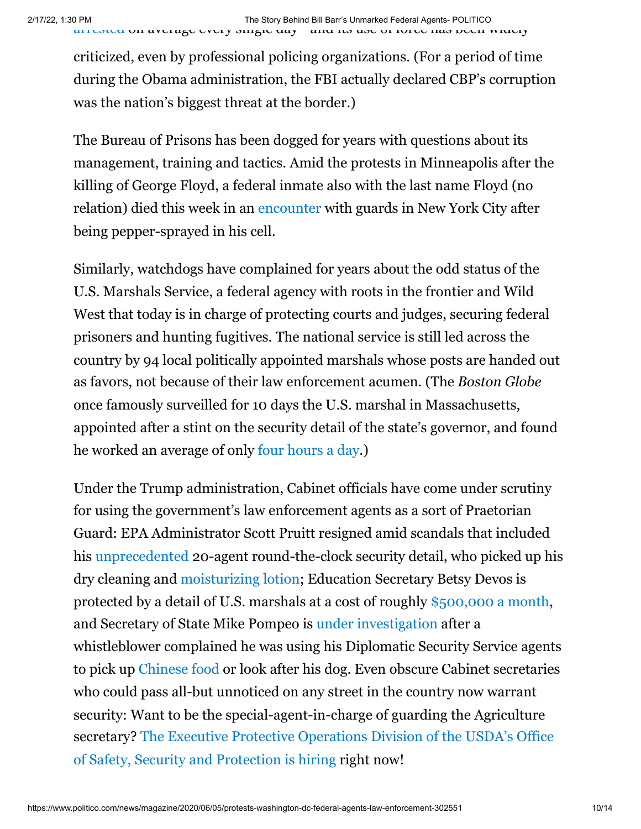criticized, even by professional policing organizations. (For a period of time during the Obama administration, the FBI actually declared CBP's corruption was the nation's biggest threat at the border.)

The Bureau of Prisons has been dogged for years with questions about its management, training and tactics. Amid the protests in Minneapolis after the killing of George Floyd, a federal inmate also with the last name Floyd (no relation) died this week in an [encounter](https://www.cnn.com/2020/06/04/us/jamel-floyd-brooklyn-prison-death-pepper-spray/index.html) with guards in New York City after being pepper-sprayed in his cell.

Similarly, watchdogs have complained for years about the odd status of the U.S. Marshals Service, a federal agency with roots in the frontier and Wild West that today is in charge of protecting courts and judges, securing federal prisoners and hunting fugitives. The national service is still led across the country by 94 local politically appointed marshals whose posts are handed out as favors, not because of their law enforcement acumen. (The *Boston Globe* once famously surveilled for 10 days the U.S. marshal in Massachusetts, appointed after a stint on the security detail of the state's governor, and found he worked an average of only [four hours a day](http://archive.boston.com/news/local/articles/2004/10/26/us_marshal_gets_full_time_pay_for_a_few_hours_work?pg=full).)

Under the Trump administration, Cabinet officials have come under scrutiny for using the government's law enforcement agents as a sort of Praetorian Guard: EPA Administrator Scott Pruitt resigned amid scandals that included his [unprecedented](https://www.vox.com/2018/9/5/17819548/epa-scott-pruitt-inspector-security-detail) 20-agent round-the-clock security detail, who picked up his dry cleaning and [moisturizing lotion](https://www.washingtonpost.com/news/energy-environment/wp/2018/06/07/pruitt-enlisted-security-detail-in-picking-up-dry-cleaning-moisturizing-lotion/); Education Secretary Betsy Devos is protected by a detail of U.S. marshals at a cost of roughly [\\$500,000 a month,](https://www.politico.com/news/2019/10/01/betsy-devos-security-detail-cost-015986) and Secretary of State Mike Pompeo is [under investigation](https://www.cnn.com/2019/07/01/politics/pompeo-democrats-whistleblower-claims/index.html) after a whistleblower complained he was using his Diplomatic Security Service agents to pick up [Chinese food](https://www.cnn.com/2019/07/01/politics/pompeo-democrats-whistleblower-claims/index.html) or look after his dog. Even obscure Cabinet secretaries who could pass all-but unnoticed on any street in the country now warrant security: Want to be the special-agent-in-charge of guarding the Agriculture [secretary? The Executive Protective Operations Division of the USDA's Office](https://webcache.googleusercontent.com/search?q=cache:h0tv3_F-Zi8J:https://aghires.com/jobs/supervisory-administrative-management-specialist-in-washington-d-c-washington-d-c-us/+&cd=6&hl=en&ct=clnk&gl=us) of Safety, Security and Protection is hiring right now!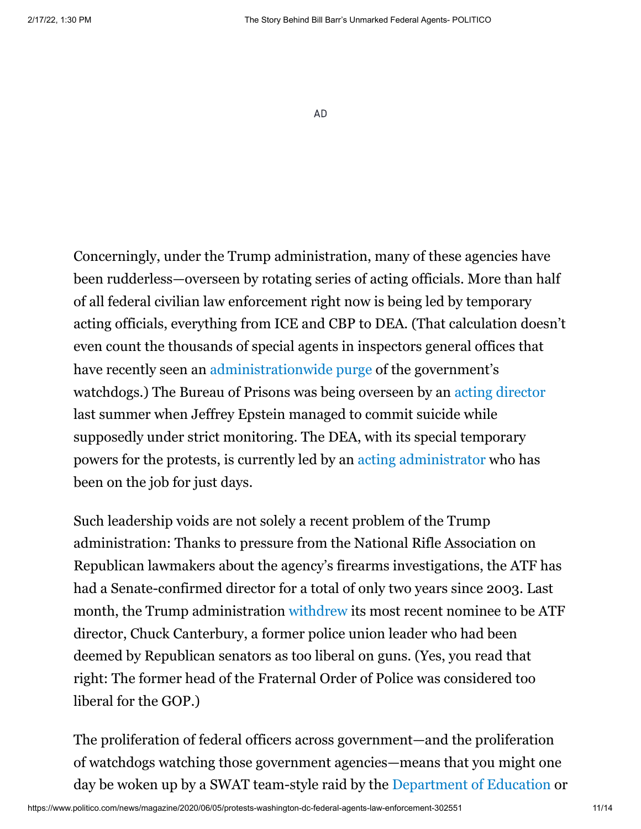AD

Concerningly, under the Trump administration, many of these agencies have been rudderless—overseen by rotating series of acting officials. More than half of all federal civilian law enforcement right now is being led by temporary acting officials, everything from ICE and CBP to DEA. (That calculation doesn't even count the thousands of special agents in inspectors general offices that have recently seen an [administrationwide purge](https://www.washingtonpost.com/politics/2020/05/19/trumps-firing-inspector-general-investigating-mike-pompeo-grows-even-more-suspicious/) of the government's watchdogs.) The Bureau of Prisons was being overseen by an [acting director](https://www.politico.com/story/2019/08/19/prisons-chief-removed-jeffrey-epstein-death-1468530#:~:text=Hurwitz%20is%20a%20longtime%20bureaucrat,General%20Jeff%20Sessions%20in%202018.) last summer when Jeffrey Epstein managed to commit suicide while supposedly under strict monitoring. The DEA, with its special temporary powers for the protests, is currently led by an [acting administrator](https://www.dea.gov/press-releases/2020/05/19/attorney-general-barr-announces-timothy-j-shea-new-acting-administrator) who has been on the job for just days.

Such leadership voids are not solely a recent problem of the Trump administration: Thanks to pressure from the National Rifle Association on Republican lawmakers about the agency's firearms investigations, the ATF has had a Senate-confirmed director for a total of only two years since 2003. Last month, the Trump administration [withdrew](https://twitter.com/vermontgmg/status/1263466201629495297) its most recent nominee to be ATF director, Chuck Canterbury, a former police union leader who had been deemed by Republican senators as too liberal on guns. (Yes, you read that right: The former head of the Fraternal Order of Police was considered too liberal for the GOP.)

The proliferation of federal officers across government—and the proliferation of watchdogs watching those government agencies—means that you might one day be woken up by a SWAT team-style raid by the [Department of Education](https://www.heritage.org/crime-and-justice/commentary/beware-the-us-education-department-swat-team) or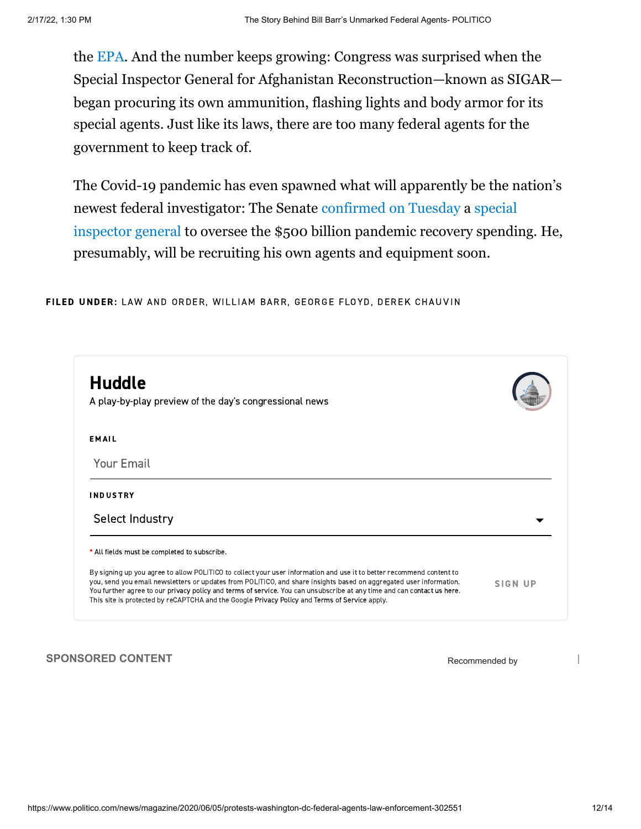the [EPA.](https://www.vice.com/en_ca/article/xd5q9k/even-the-epa-is-using-swat-teams-now) And the number keeps growing: Congress was surprised when the Special Inspector General for Afghanistan Reconstruction—known as SIGAR began procuring its own ammunition, flashing lights and body armor for its special agents. Just like its laws, there are too many federal agents for the government to keep track of.

The Covid-19 pandemic has even spawned what will apparently be the nation's [newest federal investigator: The Senate](https://www.nytimes.com/2020/05/05/us/politics/inspector-general-coronavirus-stimulus.html) [confirmed on Tuesday](https://www.cbsnews.com/news/brian-miller-confirmed-as-pandemic-special-inspector-general-in-partisan-vote/) [a special](https://www.nytimes.com/2020/05/05/us/politics/inspector-general-coronavirus-stimulus.html) inspector general to oversee the \$500 billion pandemic recovery spending. He, presumably, will be recruiting his own agents and equipment soon.

FILED UNDER: LAW AND [ORDER,](https://www.politico.com/news/law-and-order) WILLIAM [BARR](https://www.politico.com/tag/william-barr), [GEORGE](https://www.politico.com/tag/george-floyd) FLOYD, DEREK [CHAUVIN](https://www.politico.com/tag/derek-chauvin)



**SPONSORED CONTENT** SPONSORED **CONTENT**